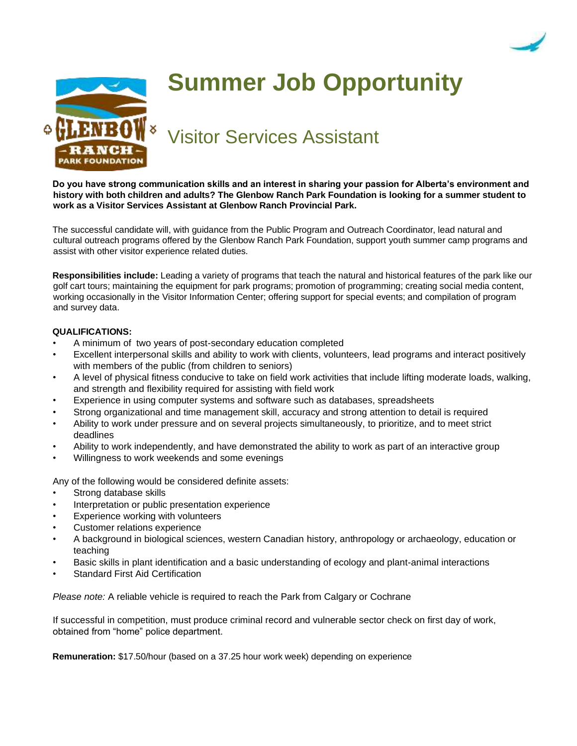



## **Summer Job Opportunity**

Visitor Services Assistant

**Do you have strong communication skills and an interest in sharing your passion for Alberta's environment and history with both children and adults? The Glenbow Ranch Park Foundation is looking for a summer student to work as a Visitor Services Assistant at Glenbow Ranch Provincial Park.** 

The successful candidate will, with guidance from the Public Program and Outreach Coordinator, lead natural and cultural outreach programs offered by the Glenbow Ranch Park Foundation, support youth summer camp programs and assist with other visitor experience related duties.

**Responsibilities include:** Leading a variety of programs that teach the natural and historical features of the park like our golf cart tours; maintaining the equipment for park programs; promotion of programming; creating social media content, working occasionally in the Visitor Information Center; offering support for special events; and compilation of program and survey data.

## **QUALIFICATIONS:**

- A minimum of two years of post-secondary education completed
- Excellent interpersonal skills and ability to work with clients, volunteers, lead programs and interact positively with members of the public (from children to seniors)
- A level of physical fitness conducive to take on field work activities that include lifting moderate loads, walking, and strength and flexibility required for assisting with field work
- Experience in using computer systems and software such as databases, spreadsheets
- Strong organizational and time management skill, accuracy and strong attention to detail is required
- Ability to work under pressure and on several projects simultaneously, to prioritize, and to meet strict deadlines
- Ability to work independently, and have demonstrated the ability to work as part of an interactive group
- Willingness to work weekends and some evenings

Any of the following would be considered definite assets:

- Strong database skills
- Interpretation or public presentation experience
- Experience working with volunteers
- Customer relations experience
- A background in biological sciences, western Canadian history, anthropology or archaeology, education or teaching
- Basic skills in plant identification and a basic understanding of ecology and plant-animal interactions
- Standard First Aid Certification

*Please note:* A reliable vehicle is required to reach the Park from Calgary or Cochrane

If successful in competition, must produce criminal record and vulnerable sector check on first day of work, obtained from "home" police department.

**Remuneration:** \$17.50/hour (based on a 37.25 hour work week) depending on experience